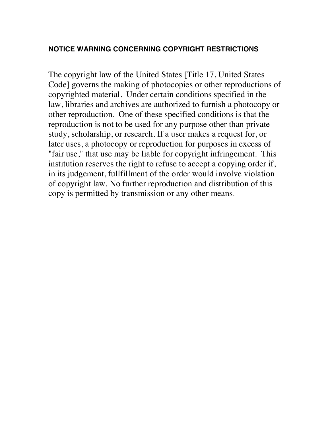# **NOTICE WARNING CONCERNING COPYRIGHT RESTRICTIONS**

The copyright law of the United States [Title 17, United States Code] governs the making of photocopies or other reproductions of copyrighted material. Under certain conditions specified in the law, libraries and archives are authorized to furnish a photocopy or other reproduction. One of these specified conditions is that the reproduction is not to be used for any purpose other than private study, scholarship, or research. If a user makes a request for, or later uses, a photocopy or reproduction for purposes in excess of "fair use," that use may be liable for copyright infringement. This institution reserves the right to refuse to accept a copying order if, in its judgement, fullfillment of the order would involve violation of copyright law. No further reproduction and distribution of this copy is permitted by transmission or any other means.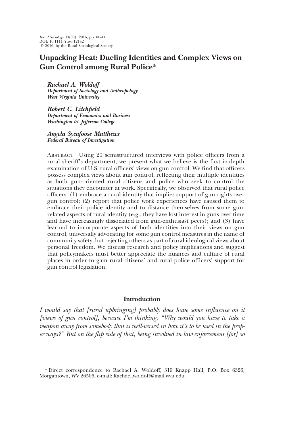Rural Sociology 00(00), 2016, pp. 00–00 DOI: 10.1111/ruso.12142 © 2016, by the Rural Sociological Society

# Unpacking Heat: Dueling Identities and Complex Views on Gun Control among Rural Police\*

Rachael A. Woldoff Department of Sociology and Anthropology West Virginia University

Robert C. Litchfield Department of Economics and Business Washington & Jefferson College

Angela Sycafoose Matthews Federal Bureau of Investigation

Abstract Using 20 semistructured interviews with police officers from a rural sheriff's department, we present what we believe is the first in-depth examination of U.S. rural officers' views on gun control. We find that officers possess complex views about gun control, reflecting their multiple identities as both gun-oriented rural citizens and police who seek to control the situations they encounter at work. Specifically, we observed that rural police officers: (1) embrace a rural identity that implies support of gun rights over gun control; (2) report that police work experiences have caused them to embrace their police identity and to distance themselves from some gunrelated aspects of rural identity (e.g., they have lost interest in guns over time and have increasingly dissociated from gun-enthusiast peers); and (3) have learned to incorporate aspects of both identities into their views on gun control, universally advocating for some gun control measures in the name of community safety, but rejecting others as part of rural ideological views about personal freedom. We discuss research and policy implications and suggest that policymakers must better appreciate the nuances and culture of rural places in order to gain rural citizens' and rural police officers' support for gun control legislation.

### Introduction

I would say that [rural upbringing] probably does have some influence on it [views of gun control], because I'm thinking, "Why would you have to take a weapon away from somebody that is well-versed in how it's to be used in the proper ways?" But on the flip side of that, being involved in law enforcement [for] so

<sup>\*</sup> Direct correspondence to Rachael A. Woldoff, 319 Knapp Hall, P.O. Box 6326, Morgantown, WV 26506, e-mail: Rachael.woldoff@mail.wvu.edu.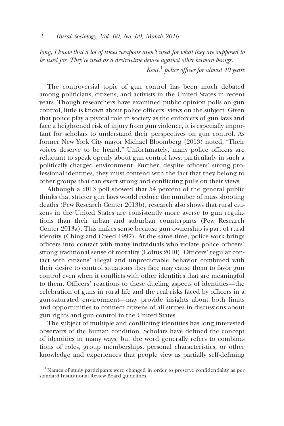#### 2 Rural Sociology, Vol. 00, No. 00, Month 2016

long, I know that a lot of times weapons aren't used for what they are supposed to be used for. They're used as a destructive device against other human beings.

Kent,<sup>1</sup> police officer for almost 40 years

The controversial topic of gun control has been much debated among politicians, citizens, and activists in the United States in recent years. Though researchers have examined public opinion polls on gun control, little is known about police officers' views on the subject. Given that police play a pivotal role in society as the enforcers of gun laws and face a heightened risk of injury from gun violence, it is especially important for scholars to understand their perspectives on gun control. As former New York City mayor Michael Bloomberg (2013) noted, "Their voices deserve to be heard." Unfortunately, many police officers are reluctant to speak openly about gun control laws, particularly in such a politically charged environment. Further, despite officers' strong professional identities, they must contend with the fact that they belong to other groups that can exert strong and conflicting pulls on their views.

Although a 2013 poll showed that 54 percent of the general public thinks that stricter gun laws would reduce the number of mass shooting deaths (Pew Research Center 2013b), research also shows that rural citizens in the United States are consistently more averse to gun regulations than their urban and suburban counterparts (Pew Research Center 2013a). This makes sense because gun ownership is part of rural identity (Ching and Creed 1997). At the same time, police work brings officers into contact with many individuals who violate police officers' strong traditional sense of morality (Loftus 2010). Officers' regular contact with citizens' illegal and unpredictable behavior combined with their desire to control situations they face may cause them to favor gun control even when it conflicts with other identities that are meaningful to them. Officers' reactions to these dueling aspects of identities—the celebration of guns in rural life and the real risks faced by officers in a gun-saturated environment—may provide insights about both limits and opportunities to connect citizens of all stripes in discussions about gun rights and gun control in the United States.

The subject of multiple and conflicting identities has long interested observers of the human condition. Scholars have defined the concept of identities in many ways, but the word generally refers to combinations of roles, group memberships, personal characteristics, or other knowledge and experiences that people view as partially self-defining

<sup>&</sup>lt;sup>1</sup>Names of study participants were changed in order to preserve confidentiality as per standard Institutional Review Board guidelines.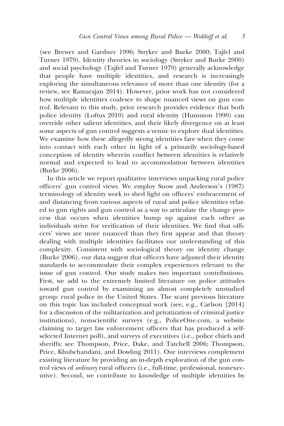(see Brewer and Gardner 1996; Stryker and Burke 2000; Tajfel and Turner 1979). Identity theories in sociology (Stryker and Burke 2000) and social psychology (Tajfel and Turner 1979) generally acknowledge that people have multiple identities, and research is increasingly exploring the simultaneous relevance of more than one identity (for a review, see Ramarajan 2014). However, prior work has not considered how multiple identities coalesce to shape nuanced views on gun control. Relevant to this study, prior research provides evidence that both police identity (Loftus 2010) and rural identity (Hummon 1990) can override other salient identities, and their likely divergence on at least some aspects of gun control suggests a venue to explore dual identities. We examine how these allegedly strong identities fare when they come into contact with each other in light of a primarily sociology-based conception of identity wherein conflict between identities is relatively normal and expected to lead to accommodation between identities (Burke 2006).

In this article we report qualitative interviews unpacking rural police officers' gun control views. We employ Snow and Anderson's (1987) terminology of identity work to shed light on officers' embracement of and distancing from various aspects of rural and police identities related to gun rights and gun control as a way to articulate the change process that occurs when identities bump up against each other as individuals strive for verification of their identities. We find that officers' views are more nuanced than they first appear and that theory dealing with multiple identities facilitates our understanding of this complexity. Consistent with sociological theory on identity change (Burke 2006), our data suggest that officers have adjusted their identity standards to accommodate their complex experiences relevant to the issue of gun control. Our study makes two important contributions. First, we add to the extremely limited literature on police attitudes toward gun control by examining an almost completely unstudied group: rural police in the United States. The scant previous literature on this topic has included conceptual work (see, e.g., Carlson [2014] for a discussion of the militarization and privatization of criminal justice institutions), nonscientific surveys (e.g., PoliceOne.com, a website claiming to target law enforcement officers that has produced a selfselected Internet poll), and surveys of executives (i.e., police chiefs and sheriffs; see Thompson, Price, Dake, and Tatchell 2006; Thompson, Price, Khubchandani, and Dowling 2011). Our interviews complement existing literature by providing an in-depth exploration of the gun control views of ordinary rural officers (i.e., full-time, professional, nonexecutive). Second, we contribute to knowledge of multiple identities by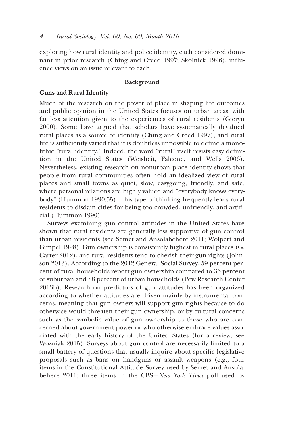exploring how rural identity and police identity, each considered dominant in prior research (Ching and Creed 1997; Skolnick 1996), influence views on an issue relevant to each.

#### Background

#### Guns and Rural Identity

Much of the research on the power of place in shaping life outcomes and public opinion in the United States focuses on urban areas, with far less attention given to the experiences of rural residents (Gieryn 2000). Some have argued that scholars have systematically devalued rural places as a source of identity (Ching and Creed 1997), and rural life is sufficiently varied that it is doubtless impossible to define a monolithic "rural identity." Indeed, the word "rural" itself resists easy definition in the United States (Weisheit, Falcone, and Wells 2006). Nevertheless, existing research on nonurban place identity shows that people from rural communities often hold an idealized view of rural places and small towns as quiet, slow, easygoing, friendly, and safe, where personal relations are highly valued and "everybody knows everybody" (Hummon 1990:55). This type of thinking frequently leads rural residents to disdain cities for being too crowded, unfriendly, and artificial (Hummon 1990).

Surveys examining gun control attitudes in the United States have shown that rural residents are generally less supportive of gun control than urban residents (see Semet and Ansolabehere 2011; Wolpert and Gimpel 1998). Gun ownership is consistently highest in rural places (G. Carter 2012), and rural residents tend to cherish their gun rights (Johnson 2013). According to the 2012 General Social Survey, 59 percent percent of rural households report gun ownership compared to 36 percent of suburban and 28 percent of urban households (Pew Research Center 2013b). Research on predictors of gun attitudes has been organized according to whether attitudes are driven mainly by instrumental concerns, meaning that gun owners will support gun rights because to do otherwise would threaten their gun ownership, or by cultural concerns such as the symbolic value of gun ownership to those who are concerned about government power or who otherwise embrace values associated with the early history of the United States (for a review, see Wozniak 2015). Surveys about gun control are necessarily limited to a small battery of questions that usually inquire about specific legislative proposals such as bans on handguns or assault weapons (e.g., four items in the Constitutional Attitude Survey used by Semet and Ansolabehere 2011; three items in the  $CBS-New$  York Times poll used by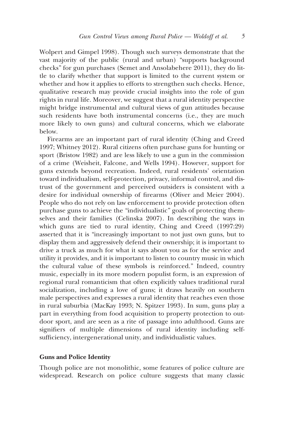Wolpert and Gimpel 1998). Though such surveys demonstrate that the vast majority of the public (rural and urban) "supports background checks" for gun purchases (Semet and Ansolabehere 2011), they do little to clarify whether that support is limited to the current system or whether and how it applies to efforts to strengthen such checks. Hence, qualitative research may provide crucial insights into the role of gun rights in rural life. Moreover, we suggest that a rural identity perspective might bridge instrumental and cultural views of gun attitudes because such residents have both instrumental concerns (i.e., they are much more likely to own guns) and cultural concerns, which we elaborate below.

Firearms are an important part of rural identity (Ching and Creed 1997; Whitney 2012). Rural citizens often purchase guns for hunting or sport (Bristow 1982) and are less likely to use a gun in the commission of a crime (Weisheit, Falcone, and Wells 1994). However, support for guns extends beyond recreation. Indeed, rural residents' orientation toward individualism, self-protection, privacy, informal control, and distrust of the government and perceived outsiders is consistent with a desire for individual ownership of firearms (Oliver and Meier 2004). People who do not rely on law enforcement to provide protection often purchase guns to achieve the "individualistic" goals of protecting themselves and their families (Celinska 2007). In describing the ways in which guns are tied to rural identity, Ching and Creed (1997:29) asserted that it is "increasingly important to not just own guns, but to display them and aggressively defend their ownership; it is important to drive a truck as much for what it says about you as for the service and utility it provides, and it is important to listen to country music in which the cultural value of these symbols is reinforced." Indeed, country music, especially in its more modern populist form, is an expression of regional rural romanticism that often explicitly values traditional rural socialization, including a love of guns; it draws heavily on southern male perspectives and expresses a rural identity that reaches even those in rural suburbia (MacKay 1993; N. Spitzer 1993). In sum, guns play a part in everything from food acquisition to property protection to outdoor sport, and are seen as a rite of passage into adulthood. Guns are signifiers of multiple dimensions of rural identity including selfsufficiency, intergenerational unity, and individualistic values.

#### Guns and Police Identity

Though police are not monolithic, some features of police culture are widespread. Research on police culture suggests that many classic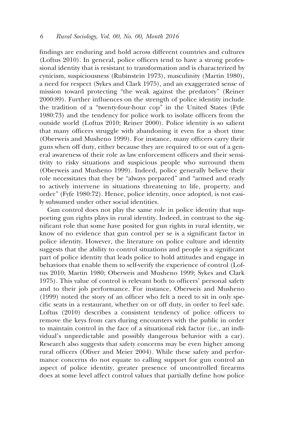findings are enduring and hold across different countries and cultures (Loftus 2010). In general, police officers tend to have a strong professional identity that is resistant to transformation and is characterized by cynicism, suspiciousness (Rubinstein 1973), masculinity (Martin 1980), a need for respect (Sykes and Clark 1975), and an exaggerated sense of mission toward protecting "the weak against the predatory" (Reiner 2000:89). Further influences on the strength of police identity include the tradition of a "twenty-four-hour cop" in the United States (Fyfe 1980:73) and the tendency for police work to isolate officers from the outside world (Loftus 2010; Reiner 2000). Police identity is so salient that many officers struggle with abandoning it even for a short time (Oberweis and Musheno 1999). For instance, many officers carry their guns when off duty, either because they are required to or out of a general awareness of their role as law enforcement officers and their sensitivity to risky situations and suspicious people who surround them (Oberweis and Musheno 1999). Indeed, police generally believe their role necessitates that they be "always prepared" and "armed and ready to actively intervene in situations threatening to life, property, and order" (Fyfe 1980:72). Hence, police identity, once adopted, is not easily subsumed under other social identities.

Gun control does not play the same role in police identity that supporting gun rights plays in rural identity. Indeed, in contrast to the significant role that some have posited for gun rights in rural identity, we know of no evidence that gun control per se is a significant factor in police identity. However, the literature on police culture and identity suggests that the ability to control situations and people is a significant part of police identity that leads police to hold attitudes and engage in behaviors that enable them to self-verify the experience of control (Loftus 2010; Martin 1980; Oberweis and Musheno 1999; Sykes and Clark 1975). This value of control is relevant both to officers' personal safety and to their job performance. For instance, Oberweis and Musheno (1999) noted the story of an officer who felt a need to sit in only specific seats in a restaurant, whether on or off duty, in order to feel safe. Loftus (2010) describes a consistent tendency of police officers to remove the keys from cars during encounters with the public in order to maintain control in the face of a situational risk factor (i.e., an individual's unpredictable and possibly dangerous behavior with a car). Research also suggests that safety concerns may be even higher among rural officers (Oliver and Meier 2004). While these safety and performance concerns do not equate to calling support for gun control an aspect of police identity, greater presence of uncontrolled firearms does at some level affect control values that partially define how police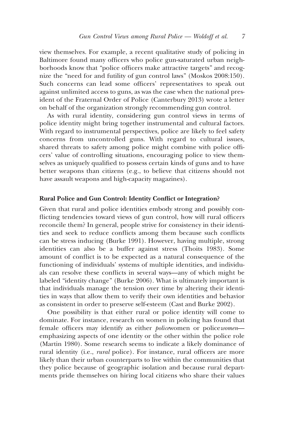view themselves. For example, a recent qualitative study of policing in Baltimore found many officers who police gun-saturated urban neighborhoods know that "police officers make attractive targets" and recognize the "need for and futility of gun control laws" (Moskos 2008:150). Such concerns can lead some officers' representatives to speak out against unlimited access to guns, as was the case when the national president of the Fraternal Order of Police (Canterbury 2013) wrote a letter on behalf of the organization strongly recommending gun control.

As with rural identity, considering gun control views in terms of police identity might bring together instrumental and cultural factors. With regard to instrumental perspectives, police are likely to feel safety concerns from uncontrolled guns. With regard to cultural issues, shared threats to safety among police might combine with police officers' value of controlling situations, encouraging police to view themselves as uniquely qualified to possess certain kinds of guns and to have better weapons than citizens (e.g., to believe that citizens should not have assault weapons and high-capacity magazines).

#### Rural Police and Gun Control: Identity Conflict or Integration?

Given that rural and police identities embody strong and possibly conflicting tendencies toward views of gun control, how will rural officers reconcile them? In general, people strive for consistency in their identities and seek to reduce conflicts among them because such conflicts can be stress inducing (Burke 1991). However, having multiple, strong identities can also be a buffer against stress (Thoits 1983). Some amount of conflict is to be expected as a natural consequence of the functioning of individuals' systems of multiple identities, and individuals can resolve these conflicts in several ways—any of which might be labeled "identity change" (Burke 2006). What is ultimately important is that individuals manage the tension over time by altering their identities in ways that allow them to verify their own identities and behavior as consistent in order to preserve self-esteem (Cast and Burke 2002).

One possibility is that either rural or police identity will come to dominate. For instance, research on women in policing has found that female officers may identify as either *policewomen* or policewomen emphasizing aspects of one identity or the other within the police role (Martin 1980). Some research seems to indicate a likely dominance of rural identity (i.e., *rural* police). For instance, rural officers are more likely than their urban counterparts to live within the communities that they police because of geographic isolation and because rural departments pride themselves on hiring local citizens who share their values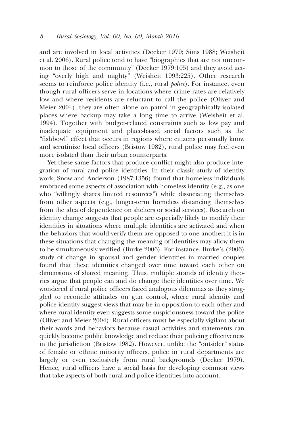and are involved in local activities (Decker 1979; Sims 1988; Weisheit et al. 2006). Rural police tend to have "biographies that are not uncommon to those of the community" (Decker 1979:105) and they avoid acting "overly high and mighty" (Weisheit 1993:225). Other research seems to reinforce police identity (i.e., rural *police*). For instance, even though rural officers serve in locations where crime rates are relatively low and where residents are reluctant to call the police (Oliver and Meier 2004), they are often alone on patrol in geographically isolated places where backup may take a long time to arrive (Weisheit et al. 1994). Together with budget-related constraints such as low pay and inadequate equipment and place-based social factors such as the "fishbowl" effect that occurs in regions where citizens personally know and scrutinize local officers (Bristow 1982), rural police may feel even more isolated than their urban counterparts.

Yet these same factors that produce conflict might also produce integration of rural and police identities. In their classic study of identity work, Snow and Anderson (1987:1356) found that homeless individuals embraced some aspects of association with homeless identity (e.g., as one who "willingly shares limited resources") while dissociating themselves from other aspects (e.g., longer-term homeless distancing themselves from the idea of dependence on shelters or social services). Research on identity change suggests that people are especially likely to modify their identities in situations where multiple identities are activated and when the behaviors that would verify them are opposed to one another; it is in these situations that changing the meaning of identities may allow them to be simultaneously verified (Burke 2006). For instance, Burke's (2006) study of change in spousal and gender identities in married couples found that these identities changed over time toward each other on dimensions of shared meaning. Thus, multiple strands of identity theories argue that people can and do change their identities over time. We wondered if rural police officers faced analogous dilemmas as they struggled to reconcile attitudes on gun control, where rural identity and police identity suggest views that may be in opposition to each other and where rural identity even suggests some suspiciousness toward the police (Oliver and Meier 2004). Rural officers must be especially vigilant about their words and behaviors because casual activities and statements can quickly become public knowledge and reduce their policing effectiveness in the jurisdiction (Bristow 1982). However, unlike the "outsider" status of female or ethnic minority officers, police in rural departments are largely or even exclusively from rural backgrounds (Decker 1979). Hence, rural officers have a social basis for developing common views that take aspects of both rural and police identities into account.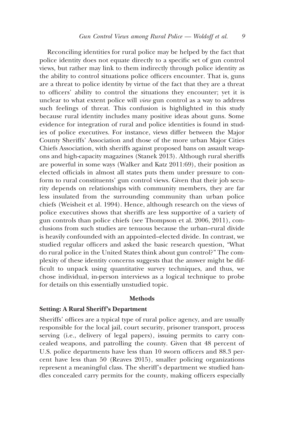Reconciling identities for rural police may be helped by the fact that police identity does not equate directly to a specific set of gun control views, but rather may link to them indirectly through police identity as the ability to control situations police officers encounter. That is, guns are a threat to police identity by virtue of the fact that they are a threat to officers' ability to control the situations they encounter; yet it is unclear to what extent police will view gun control as a way to address such feelings of threat. This confusion is highlighted in this study because rural identity includes many positive ideas about guns. Some evidence for integration of rural and police identities is found in studies of police executives. For instance, views differ between the Major County Sheriffs' Association and those of the more urban Major Cities Chiefs Association, with sheriffs against proposed bans on assault weapons and high-capacity magazines (Stanek 2013). Although rural sheriffs are powerful in some ways (Walker and Katz 2011:69), their position as elected officials in almost all states puts them under pressure to conform to rural constituents' gun control views. Given that their job security depends on relationships with community members, they are far less insulated from the surrounding community than urban police chiefs (Weisheit et al. 1994). Hence, although research on the views of police executives shows that sheriffs are less supportive of a variety of gun controls than police chiefs (see Thompson et al. 2006, 2011), conclusions from such studies are tenuous because the urban–rural divide is heavily confounded with an appointed–elected divide. In contrast, we studied regular officers and asked the basic research question, "What do rural police in the United States think about gun control?" The complexity of these identity concerns suggests that the answer might be difficult to unpack using quantitative survey techniques, and thus, we chose individual, in-person interviews as a logical technique to probe for details on this essentially unstudied topic.

#### **Methods**

#### Setting: A Rural Sheriff's Department

Sheriffs' offices are a typical type of rural police agency, and are usually responsible for the local jail, court security, prisoner transport, process serving (i.e., delivery of legal papers), issuing permits to carry concealed weapons, and patrolling the county. Given that 48 percent of U.S. police departments have less than 10 sworn officers and 88.3 percent have less than 50 (Reaves 2015), smaller policing organizations represent a meaningful class. The sheriff's department we studied handles concealed carry permits for the county, making officers especially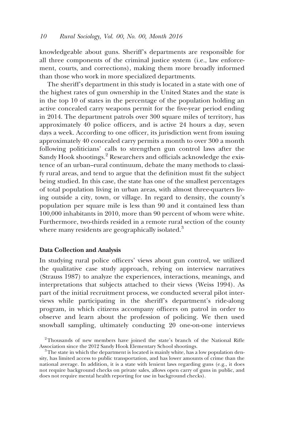knowledgeable about guns. Sheriff's departments are responsible for all three components of the criminal justice system (i.e., law enforcement, courts, and corrections), making them more broadly informed than those who work in more specialized departments.

The sheriff's department in this study is located in a state with one of the highest rates of gun ownership in the United States and the state is in the top 10 of states in the percentage of the population holding an active concealed carry weapons permit for the five-year period ending in 2014. The department patrols over 300 square miles of territory, has approximately 40 police officers, and is active 24 hours a day, seven days a week. According to one officer, its jurisdiction went from issuing approximately 40 concealed carry permits a month to over 300 a month following politicians' calls to strengthen gun control laws after the Sandy Hook shootings.<sup>2</sup> Researchers and officials acknowledge the existence of an urban–rural continuum, debate the many methods to classify rural areas, and tend to argue that the definition must fit the subject being studied. In this case, the state has one of the smallest percentages of total population living in urban areas, with almost three-quarters living outside a city, town, or village. In regard to density, the county's population per square mile is less than 90 and it contained less than 100,000 inhabitants in 2010, more than 90 percent of whom were white. Furthermore, two-thirds resided in a remote rural section of the county where many residents are geographically isolated.<sup>3</sup>

# Data Collection and Analysis

In studying rural police officers' views about gun control, we utilized the qualitative case study approach, relying on interview narratives (Strauss 1987) to analyze the experiences, interactions, meanings, and interpretations that subjects attached to their views (Weiss 1994). As part of the initial recruitment process, we conducted several pilot interviews while participating in the sheriff's department's ride-along program, in which citizens accompany officers on patrol in order to observe and learn about the profession of policing. We then used snowball sampling, ultimately conducting 20 one-on-one interviews

 $2$ Thousands of new members have joined the state's branch of the National Rifle Association since the 2012 Sandy Hook Elementary School shootings.

 $3$ The state in which the department is located is mainly white, has a low population density, has limited access to public transportation, and has lower amounts of crime than the national average. In addition, it is a state with lenient laws regarding guns (e.g., it does not require background checks on private sales, allows open carry of guns in public, and does not require mental health reporting for use in background checks).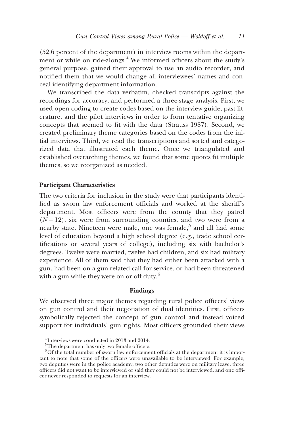(52.6 percent of the department) in interview rooms within the department or while on ride-alongs.<sup>4</sup> We informed officers about the study's general purpose, gained their approval to use an audio recorder, and notified them that we would change all interviewees' names and conceal identifying department information.

We transcribed the data verbatim, checked transcripts against the recordings for accuracy, and performed a three-stage analysis. First, we used open coding to create codes based on the interview guide, past literature, and the pilot interviews in order to form tentative organizing concepts that seemed to fit with the data (Strauss 1987). Second, we created preliminary theme categories based on the codes from the initial interviews. Third, we read the transcriptions and sorted and categorized data that illustrated each theme. Once we triangulated and established overarching themes, we found that some quotes fit multiple themes, so we reorganized as needed.

# Participant Characteristics

The two criteria for inclusion in the study were that participants identified as sworn law enforcement officials and worked at the sheriff's department. Most officers were from the county that they patrol  $(N=12)$ , six were from surrounding counties, and two were from a nearby state. Nineteen were male, one was female,<sup>5</sup> and all had some level of education beyond a high school degree (e.g., trade school certifications or several years of college), including six with bachelor's degrees. Twelve were married, twelve had children, and six had military experience. All of them said that they had either been attacked with a gun, had been on a gun-related call for service, or had been threatened with a gun while they were on or off duty.<sup>6</sup>

#### Findings

We observed three major themes regarding rural police officers' views on gun control and their negotiation of dual identities. First, officers symbolically rejected the concept of gun control and instead voiced support for individuals' gun rights. Most officers grounded their views

<sup>4</sup> Interviews were conducted in 2013 and 2014.

<sup>&</sup>lt;sup>5</sup>The department has only two female officers.

 $6$ Of the total number of sworn law enforcement officials at the department it is important to note that some of the officers were unavailable to be interviewed. For example, two deputies were in the police academy, two other deputies were on military leave, three officers did not want to be interviewed or said they could not be interviewed, and one officer never responded to requests for an interview.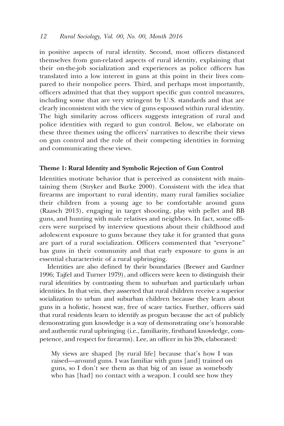in positive aspects of rural identity. Second, most officers distanced themselves from gun-related aspects of rural identity, explaining that their on-the-job socialization and experiences as police officers has translated into a low interest in guns at this point in their lives compared to their nonpolice peers. Third, and perhaps most importantly, officers admitted that that they support specific gun control measures, including some that are very stringent by U.S. standards and that are clearly inconsistent with the view of guns espoused within rural identity. The high similarity across officers suggests integration of rural and police identities with regard to gun control. Below, we elaborate on these three themes using the officers' narratives to describe their views on gun control and the role of their competing identities in forming and communicating these views.

# Theme 1: Rural Identity and Symbolic Rejection of Gun Control

Identities motivate behavior that is perceived as consistent with maintaining them (Stryker and Burke 2000). Consistent with the idea that firearms are important to rural identity, many rural families socialize their children from a young age to be comfortable around guns (Raasch 2013), engaging in target shooting, play with pellet and BB guns, and hunting with male relatives and neighbors. In fact, some officers were surprised by interview questions about their childhood and adolescent exposure to guns because they take it for granted that guns are part of a rural socialization. Officers commented that "everyone" has guns in their community and that early exposure to guns is an essential characteristic of a rural upbringing.

Identities are also defined by their boundaries (Brewer and Gardner 1996; Tajfel and Turner 1979), and officers were keen to distinguish their rural identities by contrasting them to suburban and particularly urban identities. In that vein, they assserted that rural children receive a superior socialization to urban and suburban children because they learn about guns in a holistic, honest way, free of scare tactics. Further, officers said that rural residents learn to identify as progun because the act of publicly demonstrating gun knowledge is a way of demonstrating one's honorable and authentic rural upbringing (i.e., familiarity, firsthand knowledge, competence, and respect for firearms). Lee, an officer in his 20s, elaborated:

My views are shaped [by rural life] because that's how I was raised—around guns. I was familiar with guns [and] trained on guns, so I don't see them as that big of an issue as somebody who has [had] no contact with a weapon. I could see how they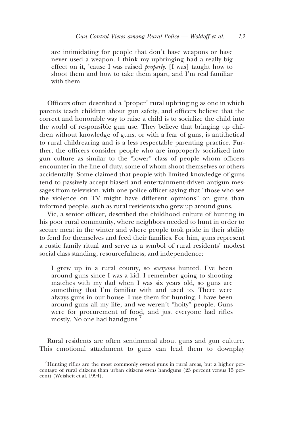are intimidating for people that don't have weapons or have never used a weapon. I think my upbringing had a really big effect on it, 'cause I was raised properly. [I was] taught how to shoot them and how to take them apart, and I'm real familiar with them.

Officers often described a "proper" rural upbringing as one in which parents teach children about gun safety, and officers believe that the correct and honorable way to raise a child is to socialize the child into the world of responsible gun use. They believe that bringing up children without knowledge of guns, or with a fear of guns, is antithetical to rural childrearing and is a less respectable parenting practice. Further, the officers consider people who are improperly socialized into gun culture as similar to the "lower" class of people whom officers encounter in the line of duty, some of whom shoot themselves or others accidentally. Some claimed that people with limited knowledge of guns tend to passively accept biased and entertainment-driven antigun messages from television, with one police officer saying that "those who see the violence on TV might have different opinions" on guns than informed people, such as rural residents who grew up around guns.

Vic, a senior officer, described the childhood culture of hunting in his poor rural community, where neighbors needed to hunt in order to secure meat in the winter and where people took pride in their ability to fend for themselves and feed their families. For him, guns represent a rustic family ritual and serve as a symbol of rural residents' modest social class standing, resourcefulness, and independence:

I grew up in a rural county, so everyone hunted. I've been around guns since I was a kid. I remember going to shooting matches with my dad when I was six years old, so guns are something that I'm familiar with and used to. There were always guns in our house. I use them for hunting. I have been around guns all my life, and we weren't "hoity" people. Guns were for procurement of food, and just everyone had rifles mostly. No one had handguns.<sup>7</sup>

Rural residents are often sentimental about guns and gun culture. This emotional attachment to guns can lead them to downplay

 $7$ Hunting rifles are the most commonly owned guns in rural areas, but a higher percentage of rural citizens than urban citizens owns handguns (23 percent versus 15 percent) (Weisheit et al. 1994).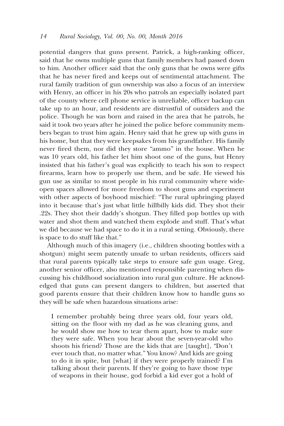potential dangers that guns present. Patrick, a high-ranking officer, said that he owns multiple guns that family members had passed down to him. Another officer said that the only guns that he owns were gifts that he has never fired and keeps out of sentimental attachment. The rural family tradition of gun ownership was also a focus of an interview with Henry, an officer in his 20s who patrols an especially isolated part of the county where cell phone service is unreliable, officer backup can take up to an hour, and residents are distrustful of outsiders and the police. Though he was born and raised in the area that he patrols, he said it took two years after he joined the police before community members began to trust him again. Henry said that he grew up with guns in his home, but that they were keepsakes from his grandfather. His family never fired them, nor did they store "ammo" in the house. When he was 10 years old, his father let him shoot one of the guns, but Henry insisted that his father's goal was explicitly to teach his son to respect firearms, learn how to properly use them, and be safe. He viewed his gun use as similar to most people in his rural community where wideopen spaces allowed for more freedom to shoot guns and experiment with other aspects of boyhood mischief: "The rural upbringing played into it because that's just what little hillbilly kids did. They shot their .22s. They shot their daddy's shotgun. They filled pop bottles up with water and shot them and watched them explode and stuff. That's what we did because we had space to do it in a rural setting. Obviously, there is space to do stuff like that."

Although much of this imagery (i.e., children shooting bottles with a shotgun) might seem patently unsafe to urban residents, officers said that rural parents typically take steps to ensure safe gun usage. Greg, another senior officer, also mentioned responsible parenting when discussing his childhood socialization into rural gun culture. He acknowledged that guns can present dangers to children, but asserted that good parents ensure that their children know how to handle guns so they will be safe when hazardous situations arise:

I remember probably being three years old, four years old, sitting on the floor with my dad as he was cleaning guns, and he would show me how to tear them apart, how to make sure they were safe. When you hear about the seven-year-old who shoots his friend? Those are the kids that are [taught], "Don't ever touch that, no matter what." You know? And kids are going to do it in spite, but [what] if they were properly trained? I'm talking about their parents. If they're going to have those type of weapons in their house, god forbid a kid ever got a hold of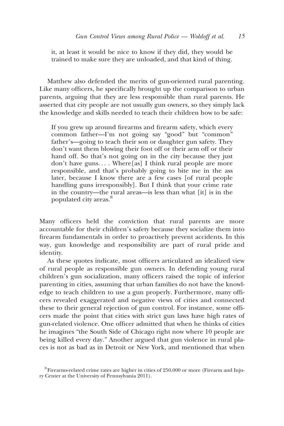it, at least it would be nice to know if they did, they would be trained to make sure they are unloaded, and that kind of thing.

Matthew also defended the merits of gun-oriented rural parenting. Like many officers, he specifically brought up the comparison to urban parents, arguing that they are less responsible than rural parents. He asserted that city people are not usually gun owners, so they simply lack the knowledge and skills needed to teach their children how to be safe:

If you grew up around firearms and firearm safety, which every common father—I'm not going say "good" but "common" father's—going to teach their son or daughter gun safety. They don't want them blowing their foot off or their arm off or their hand off. So that's not going on in the city because they just don't have guns... . Where[as] I think rural people are more responsible, and that's probably going to bite me in the ass later, because I know there are a few cases [of rural people handling guns irresponsibly]. But I think that your crime rate in the country—the rural areas—is less than what [it] is in the populated city areas.<sup>8</sup>

Many officers held the conviction that rural parents are more accountable for their children's safety because they socialize them into firearm fundamentals in order to proactively prevent accidents. In this way, gun knowledge and responsibility are part of rural pride and identity.

As these quotes indicate, most officers articulated an idealized view of rural people as responsible gun owners. In defending young rural children's gun socialization, many officers raised the topic of inferior parenting in cities, assuming that urban families do not have the knowledge to teach children to use a gun properly. Furthermore, many officers revealed exaggerated and negative views of cities and connected these to their general rejection of gun control. For instance, some officers made the point that cities with strict gun laws have high rates of gun-related violence. One officer admitted that when he thinks of cities he imagines "the South Side of Chicago right now where 10 people are being killed every day." Another argued that gun violence in rural places is not as bad as in Detroit or New York, and mentioned that when

<sup>8</sup>Firearms-related crime rates are higher in cities of 250,000 or more (Firearm and Injury Center at the University of Pennsylvania 2011).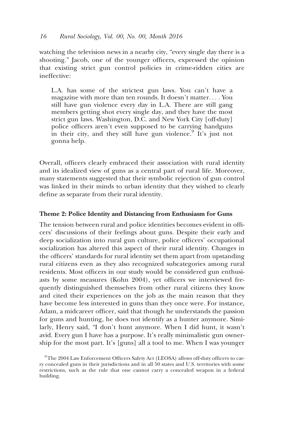watching the television news in a nearby city, "every single day there is a shooting." Jacob, one of the younger officers, expressed the opinion that existing strict gun control policies in crime-ridden cities are ineffective:

L.A. has some of the strictest gun laws. You can't have a magazine with more than ten rounds. It doesn't matter... . You still have gun violence every day in L.A. There are still gang members getting shot every single day, and they have the most strict gun laws. Washington, D.C. and New York City [off-duty] police officers aren't even supposed to be carrying handguns in their city, and they still have gun violence.<sup>9</sup> It's just not gonna help.

Overall, officers clearly embraced their association with rural identity and its idealized view of guns as a central part of rural life. Moreover, many statements suggested that their symbolic rejection of gun control was linked in their minds to urban identity that they wished to clearly define as separate from their rural identity.

# Theme 2: Police Identity and Distancing from Enthusiasm for Guns

The tension between rural and police identities becomes evident in officers' discussions of their feelings about guns. Despite their early and deep socialization into rural gun culture, police officers' occupational socialization has altered this aspect of their rural identity. Changes in the officers' standards for rural identity set them apart from upstanding rural citizens even as they also recognized subcategories among rural residents. Most officers in our study would be considered gun enthusiasts by some measures (Kohn 2004), yet officers we interviewed frequently distinguished themselves from other rural citizens they know and cited their experiences on the job as the main reason that they have become less interested in guns than they once were. For instance, Adam, a midcareer officer, said that though he understands the passion for guns and hunting, he does not identify as a hunter anymore. Similarly, Henry said, "I don't hunt anymore. When I did hunt, it wasn't avid. Every gun I have has a purpose. It's really minimalistic gun ownership for the most part. It's [guns] all a tool to me. When I was younger

<sup>&</sup>lt;sup>9</sup>The 2004 Law Enforcement Officers Safety Act (LEOSA) allows off-duty officers to carry concealed guns in their jurisdictions and in all 50 states and U.S. territories with some restrictions, such as the rule that one cannot carry a concealed weapon in a federal building.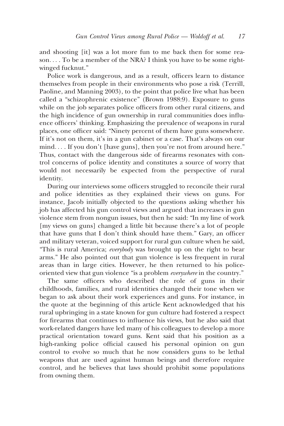and shooting [it] was a lot more fun to me back then for some reason... . To be a member of the NRA? I think you have to be some rightwinged fucknut."

Police work is dangerous, and as a result, officers learn to distance themselves from people in their environments who pose a risk (Terrill, Paoline, and Manning 2003), to the point that police live what has been called a "schizophrenic existence" (Brown 1988:9). Exposure to guns while on the job separates police officers from other rural citizens, and the high incidence of gun ownership in rural communities does influence officers' thinking. Emphasizing the prevalence of weapons in rural places, one officer said: "Ninety percent of them have guns somewhere. If it's not on them, it's in a gun cabinet or a case. That's always on our mind... . If you don't [have guns], then you're not from around here." Thus, contact with the dangerous side of firearms resonates with control concerns of police identity and constitutes a source of worry that would not necessarily be expected from the perspective of rural identity.

During our interviews some officers struggled to reconcile their rural and police identities as they explained their views on guns. For instance, Jacob initially objected to the questions asking whether his job has affected his gun control views and argued that increases in gun violence stem from nongun issues, but then he said: "In my line of work [my views on guns] changed a little bit because there's a lot of people that have guns that I don't think should have them." Gary, an officer and military veteran, voiced support for rural gun culture when he said, "This is rural America; everybody was brought up on the right to bear arms." He also pointed out that gun violence is less frequent in rural areas than in large cities. However, he then returned to his policeoriented view that gun violence "is a problem everywhere in the country."

The same officers who described the role of guns in their childhoods, families, and rural identities changed their tone when we began to ask about their work experiences and guns. For instance, in the quote at the beginning of this article Kent acknowledged that his rural upbringing in a state known for gun culture had fostered a respect for firearms that continues to influence his views, but he also said that work-related dangers have led many of his colleagues to develop a more practical orientation toward guns. Kent said that his position as a high-ranking police official caused his personal opinion on gun control to evolve so much that he now considers guns to be lethal weapons that are used against human beings and therefore require control, and he believes that laws should prohibit some populations from owning them.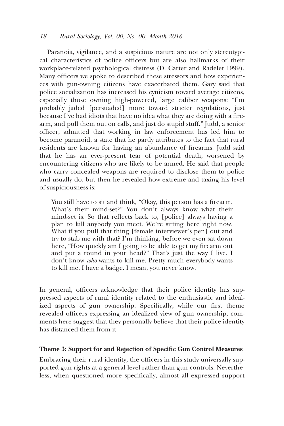# 18 Rural Sociology, Vol. 00, No. 00, Month 2016

Paranoia, vigilance, and a suspicious nature are not only stereotypical characteristics of police officers but are also hallmarks of their workplace-related psychological distress (D. Carter and Radelet 1999). Many officers we spoke to described these stressors and how experiences with gun-owning citizens have exacerbated them. Gary said that police socialization has increased his cynicism toward average citizens, especially those owning high-powered, large caliber weapons: "I'm probably jaded [persuaded] more toward stricter regulations, just because I've had idiots that have no idea what they are doing with a firearm, and pull them out on calls, and just do stupid stuff." Judd, a senior officer, admitted that working in law enforcement has led him to become paranoid, a state that he partly attributes to the fact that rural residents are known for having an abundance of firearms. Judd said that he has an ever-present fear of potential death, worsened by encountering citizens who are likely to be armed. He said that people who carry concealed weapons are required to disclose them to police and usually do, but then he revealed how extreme and taxing his level of suspiciousness is:

You still have to sit and think, "Okay, this person has a firearm. What's their mind-set?" You don't always know what their mind-set is. So that reflects back to, [police] always having a plan to kill anybody you meet. We're sitting here right now. What if you pull that thing [female interviewer's pen] out and try to stab me with that? I'm thinking, before we even sat down here, "How quickly am I going to be able to get my firearm out and put a round in your head?" That's just the way I live. I don't know who wants to kill me. Pretty much everybody wants to kill me. I have a badge. I mean, you never know.

In general, officers acknowledge that their police identity has suppressed aspects of rural identity related to the enthusiastic and idealized aspects of gun ownership. Specifically, while our first theme revealed officers expressing an idealized view of gun ownership, comments here suggest that they personally believe that their police identity has distanced them from it.

# Theme 3: Support for and Rejection of Specific Gun Control Measures

Embracing their rural identity, the officers in this study universally supported gun rights at a general level rather than gun controls. Nevertheless, when questioned more specifically, almost all expressed support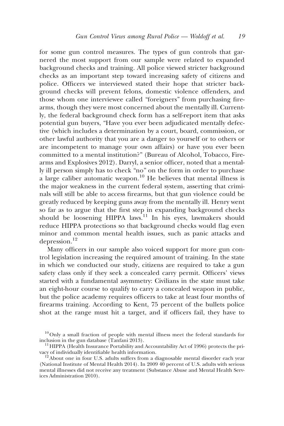for some gun control measures. The types of gun controls that garnered the most support from our sample were related to expanded background checks and training. All police viewed stricter background checks as an important step toward increasing safety of citizens and police. Officers we interviewed stated their hope that stricter background checks will prevent felons, domestic violence offenders, and those whom one interviewee called "foreigners" from purchasing firearms, though they were most concerned about the mentally ill. Currently, the federal background check form has a self-report item that asks potential gun buyers, "Have you ever been adjudicated mentally defective (which includes a determination by a court, board, commission, or other lawful authority that you are a danger to yourself or to others or are incompetent to manage your own affairs) or have you ever been committed to a mental institution?" (Bureau of Alcohol, Tobacco, Firearms and Explosives 2012). Darryl, a senior officer, noted that a mentally ill person simply has to check "no" on the form in order to purchase a large caliber automatic weapon.<sup>10</sup> He believes that mental illness is the major weakness in the current federal system, asserting that criminals will still be able to access firearms, but that gun violence could be greatly reduced by keeping guns away from the mentally ill. Henry went so far as to argue that the first step in expanding background checks should be loosening HIPPA laws.<sup>11</sup> In his eyes, lawmakers should reduce HIPPA protections so that background checks would flag even minor and common mental health issues, such as panic attacks and depression.<sup>12</sup>

Many officers in our sample also voiced support for more gun control legislation increasing the required amount of training. In the state in which we conducted our study, citizens are required to take a gun safety class only if they seek a concealed carry permit. Officers' views started with a fundamental asymmetry: Civilians in the state must take an eight-hour course to qualify to carry a concealed weapon in public, but the police academy requires officers to take at least four months of firearms training. According to Kent, 75 percent of the bullets police shot at the range must hit a target, and if officers fail, they have to

<sup>10</sup>Only a small fraction of people with mental illness meet the federal standards for

inclusion in the gun database (Tanfani 2013).<br>  $^{11}$ HIPPA (Health Insurance Portability and Accountability Act of 1996) protects the pri-<br>
vacy of individually identifiable health information.

<sup>&</sup>lt;sup>2</sup>About one in four U.S. adults suffers from a diagnosable mental disorder each year (National Institute of Mental Health 2014). In 2009 40 percent of U.S. adults with serious mental illnesses did not receive any treatment (Substance Abuse and Mental Health Services Administration 2010).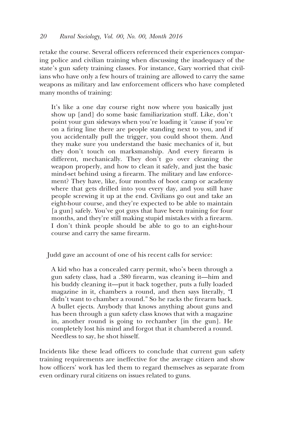retake the course. Several officers referenced their experiences comparing police and civilian training when discussing the inadequacy of the state's gun safety training classes. For instance, Gary worried that civilians who have only a few hours of training are allowed to carry the same weapons as military and law enforcement officers who have completed many months of training:

It's like a one day course right now where you basically just show up [and] do some basic familiarization stuff. Like, don't point your gun sideways when you're loading it 'cause if you're on a firing line there are people standing next to you, and if you accidentally pull the trigger, you could shoot them. And they make sure you understand the basic mechanics of it, but they don't touch on marksmanship. And every firearm is different, mechanically. They don't go over cleaning the weapon properly, and how to clean it safely, and just the basic mind-set behind using a firearm. The military and law enforcement? They have, like, four months of boot camp or academy where that gets drilled into you every day, and you still have people screwing it up at the end. Civilians go out and take an eight-hour course, and they're expected to be able to maintain [a gun] safely. You've got guys that have been training for four months, and they're still making stupid mistakes with a firearm. I don't think people should be able to go to an eight-hour course and carry the same firearm.

Judd gave an account of one of his recent calls for service:

A kid who has a concealed carry permit, who's been through a gun safety class, had a .380 firearm, was cleaning it—him and his buddy cleaning it—put it back together, puts a fully loaded magazine in it, chambers a round, and then says literally, "I didn't want to chamber a round." So he racks the firearm back. A bullet ejects. Anybody that knows anything about guns and has been through a gun safety class knows that with a magazine in, another round is going to rechamber [in the gun]. He completely lost his mind and forgot that it chambered a round. Needless to say, he shot hisself.

Incidents like these lead officers to conclude that current gun safety training requirements are ineffective for the average citizen and show how officers' work has led them to regard themselves as separate from even ordinary rural citizens on issues related to guns.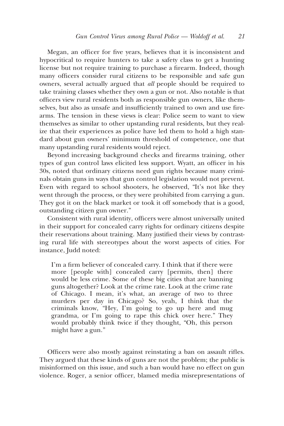Megan, an officer for five years, believes that it is inconsistent and hypocritical to require hunters to take a safety class to get a hunting license but not require training to purchase a firearm. Indeed, though many officers consider rural citizens to be responsible and safe gun owners, several actually argued that all people should be required to take training classes whether they own a gun or not. Also notable is that officers view rural residents both as responsible gun owners, like themselves, but also as unsafe and insufficiently trained to own and use firearms. The tension in these views is clear: Police seem to want to view themselves as similar to other upstanding rural residents, but they realize that their experiences as police have led them to hold a high standard about gun owners' minimum threshold of competence, one that many upstanding rural residents would reject.

Beyond increasing background checks and firearms training, other types of gun control laws elicited less support. Wyatt, an officer in his 30s, noted that ordinary citizens need gun rights because many criminals obtain guns in ways that gun control legislation would not prevent. Even with regard to school shooters, he observed, "It's not like they went through the process, or they were prohibited from carrying a gun. They got it on the black market or took it off somebody that is a good, outstanding citizen gun owner."

Consistent with rural identity, officers were almost universally united in their support for concealed carry rights for ordinary citizens despite their reservations about training. Many justified their views by contrasting rural life with stereotypes about the worst aspects of cities. For instance, Judd noted:

I'm a firm believer of concealed carry. I think that if there were more [people with] concealed carry [permits, then] there would be less crime. Some of these big cities that are banning guns altogether? Look at the crime rate. Look at the crime rate of Chicago. I mean, it's what, an average of two to three murders per day in Chicago? So, yeah, I think that the criminals know, "Hey, I'm going to go up here and mug grandma, or I'm going to rape this chick over here." They would probably think twice if they thought, "Oh, this person might have a gun."

Officers were also mostly against reinstating a ban on assault rifles. They argued that these kinds of guns are not the problem; the public is misinformed on this issue, and such a ban would have no effect on gun violence. Roger, a senior officer, blamed media misrepresentations of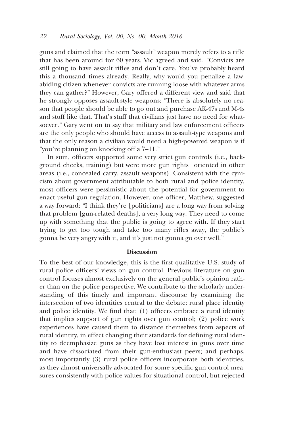guns and claimed that the term "assault" weapon merely refers to a rifle that has been around for 60 years. Vic agreed and said, "Convicts are still going to have assault rifles and don't care. You've probably heard this a thousand times already. Really, why would you penalize a lawabiding citizen whenever convicts are running loose with whatever arms they can gather?" However, Gary offered a different view and said that he strongly opposes assault-style weapons: "There is absolutely no reason that people should be able to go out and purchase AK-47s and M-4s and stuff like that. That's stuff that civilians just have no need for whatsoever." Gary went on to say that military and law enforcement officers are the only people who should have access to assault-type weapons and that the only reason a civilian would need a high-powered weapon is if "you're planning on knocking off a 7–11."

In sum, officers supported some very strict gun controls (i.e., background checks, training) but were more gun rights-oriented in other areas (i.e., concealed carry, assault weapons). Consistent with the cynicism about government attributable to both rural and police identity, most officers were pessimistic about the potential for government to enact useful gun regulation. However, one officer, Matthew, suggested a way forward: "I think they're [politicians] are a long way from solving that problem [gun-related deaths], a very long way. They need to come up with something that the public is going to agree with. If they start trying to get too tough and take too many rifles away, the public's gonna be very angry with it, and it's just not gonna go over well."

#### **Discussion**

To the best of our knowledge, this is the first qualitative U.S. study of rural police officers' views on gun control. Previous literature on gun control focuses almost exclusively on the general public's opinion rather than on the police perspective. We contribute to the scholarly understanding of this timely and important discourse by examining the intersection of two identities central to the debate: rural place identity and police identity. We find that: (1) officers embrace a rural identity that implies support of gun rights over gun control; (2) police work experiences have caused them to distance themselves from aspects of rural identity, in effect changing their standards for defining rural identity to deemphasize guns as they have lost interest in guns over time and have dissociated from their gun-enthusiast peers; and perhaps, most importantly (3) rural police officers incorporate both identities, as they almost universally advocated for some specific gun control measures consistently with police values for situational control, but rejected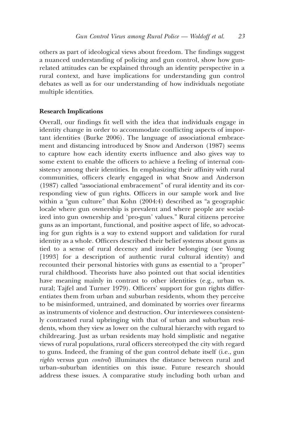others as part of ideological views about freedom. The findings suggest a nuanced understanding of policing and gun control, show how gunrelated attitudes can be explained through an identity perspective in a rural context, and have implications for understanding gun control debates as well as for our understanding of how individuals negotiate multiple identities.

#### Research Implications

Overall, our findings fit well with the idea that individuals engage in identity change in order to accommodate conflicting aspects of important identities (Burke 2006). The language of associational embracement and distancing introduced by Snow and Anderson (1987) seems to capture how each identity exerts influence and also gives way to some extent to enable the officers to achieve a feeling of internal consistency among their identities. In emphasizing their affinity with rural communities, officers clearly engaged in what Snow and Anderson (1987) called "associational embracement" of rural identity and its corresponding view of gun rights. Officers in our sample work and live within a "gun culture" that Kohn (2004:4) described as "a geographic locale where gun ownership is prevalent and where people are socialized into gun ownership and 'pro-gun' values." Rural citizens perceive guns as an important, functional, and positive aspect of life, so advocating for gun rights is a way to extend support and validation for rural identity as a whole. Officers described their belief systems about guns as tied to a sense of rural decency and insider belonging (see Young [1993] for a description of authentic rural cultural identity) and recounted their personal histories with guns as essential to a "proper" rural childhood. Theorists have also pointed out that social identities have meaning mainly in contrast to other identities (e.g., urban vs. rural; Tajfel and Turner 1979). Officers' support for gun rights differentiates them from urban and suburban residents, whom they perceive to be misinformed, untrained, and dominated by worries over firearms as instruments of violence and destruction. Our interviewees consistently contrasted rural upbringing with that of urban and suburban residents, whom they view as lower on the cultural hierarchy with regard to childrearing. Just as urban residents may hold simplistic and negative views of rural populations, rural officers stereotyped the city with regard to guns. Indeed, the framing of the gun control debate itself (i.e., gun rights versus gun *control*) illuminates the distance between rural and urban–suburban identities on this issue. Future research should address these issues. A comparative study including both urban and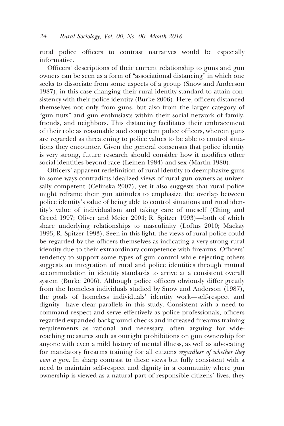rural police officers to contrast narratives would be especially informative.

Officers' descriptions of their current relationship to guns and gun owners can be seen as a form of "associational distancing" in which one seeks to dissociate from some aspects of a group (Snow and Anderson 1987), in this case changing their rural identity standard to attain consistency with their police identity (Burke 2006). Here, officers distanced themselves not only from guns, but also from the larger category of "gun nuts" and gun enthusiasts within their social network of family, friends, and neighbors. This distancing facilitates their embracement of their role as reasonable and competent police officers, wherein guns are regarded as threatening to police values to be able to control situations they encounter. Given the general consensus that police identity is very strong, future research should consider how it modifies other social identities beyond race (Leinen 1984) and sex (Martin 1980).

Officers' apparent redefinition of rural identity to deemphasize guns in some ways contradicts idealized views of rural gun owners as universally competent (Celinska 2007), yet it also suggests that rural police might reframe their gun attitudes to emphasize the overlap between police identity's value of being able to control situations and rural identity's value of individualism and taking care of oneself (Ching and Creed 1997; Oliver and Meier 2004; R. Spitzer 1993)—both of which share underlying relationships to masculinity (Loftus 2010; Mackay 1993; R. Spitzer 1993). Seen in this light, the views of rural police could be regarded by the officers themselves as indicating a very strong rural identity due to their extraordinary competence with firearms. Officers' tendency to support some types of gun control while rejecting others suggests an integration of rural and police identities through mutual accommodation in identity standards to arrive at a consistent overall system (Burke 2006). Although police officers obviously differ greatly from the homeless individuals studied by Snow and Anderson (1987), the goals of homeless individuals' identity work—self-respect and dignity—have clear parallels in this study. Consistent with a need to command respect and serve effectively as police professionals, officers regarded expanded background checks and increased firearms training requirements as rational and necessary, often arguing for widereaching measures such as outright prohibitions on gun ownership for anyone with even a mild history of mental illness, as well as advocating for mandatory firearms training for all citizens regardless of whether they own a gun. In sharp contrast to these views but fully consistent with a need to maintain self-respect and dignity in a community where gun ownership is viewed as a natural part of responsible citizens' lives, they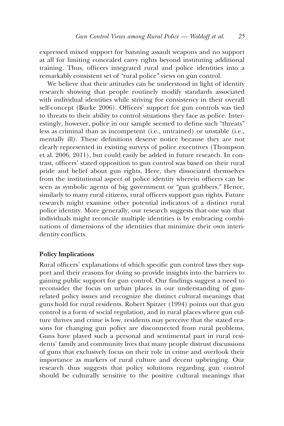expressed mixed support for banning assault weapons and no support at all for limiting concealed carry rights beyond instituting additional training. Thus, officers integrated rural and police identities into a remarkably consistent set of "rural police" views on gun control.

We believe that their attitudes can be understood in light of identity research showing that people routinely modify standards associated with individual identities while striving for consistency in their overall self-concept (Burke 2006). Officers' support for gun controls was tied to threats to their ability to control situations they face as police. Interestingly, however, police in our sample seemed to define such "threats" less as criminal than as incompetent (i.e., untrained) or unstable (i.e., mentally ill). These definitions deserve notice because they are not clearly represented in existing surveys of police executives (Thompson et al. 2006, 2011), but could easily be added in future research. In contrast, officers' stated opposition to gun control was based on their rural pride and belief about gun rights. Here, they dissociated themselves from the institutional aspect of police identity wherein officers can be seen as symbolic agents of big government or "gun grabbers." Hence, similarly to many rural citizens, rural officers support gun rights. Future research might examine other potential indicators of a distinct rural police identity. More generally, our research suggests that one way that individuals might reconcile multiple identities is by embracing combinations of dimensions of the identities that minimize their own interidentity conflicts.

#### Policy Implications

Rural officers' explanations of which specific gun control laws they support and their reasons for doing so provide insights into the barriers to gaining public support for gun control. Our findings suggest a need to reconsider the focus on urban places in our understanding of gunrelated policy issues and recognize the distinct cultural meanings that guns hold for rural residents. Robert Spitzer (1994) points out that gun control is a form of social regulation, and in rural places where gun culture thrives and crime is low, residents may perceive that the stated reasons for changing gun policy are disconnected from rural problems. Guns have played such a personal and sentimental part in rural residents' family and community lives that many people distrust discussions of guns that exclusively focus on their role in crime and overlook their importance as markers of rural culture and decent upbringing. Our research thus suggests that policy solutions regarding gun control should be culturally sensitive to the positive cultural meanings that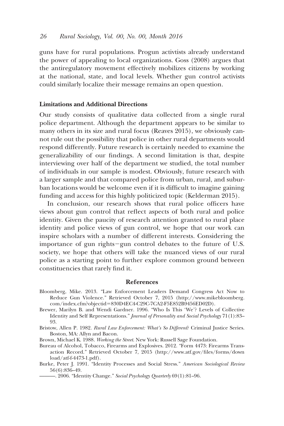guns have for rural populations. Progun activtists already understand the power of appealing to local organizations. Goss (2008) argues that the antiregulatory movement effectively mobilizes citizens by working at the national, state, and local levels. Whether gun control activists could similarly localize their message remains an open question.

#### Limitations and Additional Directions

Our study consists of qualitative data collected from a single rural police department. Although the department appears to be similar to many others in its size and rural focus (Reaves 2015), we obviously cannot rule out the possibility that police in other rural departments would respond differently. Future research is certainly needed to examine the generalizability of our findings. A second limitation is that, despite interviewing over half of the department we studied, the total number of individuals in our sample is modest. Obviously, future research with a larger sample and that compared police from urban, rural, and suburban locations would be welcome even if it is difficult to imagine gaining funding and access for this highly politicized topic (Kelderman 2015).

In conclusion, our research shows that rural police officers have views about gun control that reflect aspects of both rural and police identity. Given the paucity of research attention granted to rural place identity and police views of gun control, we hope that our work can inspire scholars with a number of different interests. Considering the importance of gun rights-gun control debates to the future of U.S. society, we hope that others will take the nuanced views of our rural police as a starting point to further explore common ground between constituencies that rarely find it.

### References

- Bloomberg, Mike. 2013. "Law Enforcement Leaders Demand Congress Act Now to Reduce Gun Violence." Retrieved October 7, 2015 ([http://www.mikebloomberg.](http://www.mikebloomberg.com/index.cfm?objectid=830D4EC4-C29C-7CA2-F5E852B9456ED02D) [com/index.cfm?objectid](http://www.mikebloomberg.com/index.cfm?objectid=830D4EC4-C29C-7CA2-F5E852B9456ED02D)5[830D4EC4-C29C-7CA2-F5E852B9456ED02D](http://www.mikebloomberg.com/index.cfm?objectid=830D4EC4-C29C-7CA2-F5E852B9456ED02D)).
- Brewer, Marilyn B. and Wendi Gardner. 1996. "Who Is This 'We'? Levels of Collective Identity and Self Representations." Journal of Personality and Social Psychology 71(1):83– 93.
- Bristow, Allen P. 1982. Rural Law Enforcement: What's So Different? Criminal Justice Series. Boston, MA: Allyn and Bacon.
- Brown, Michael K. 1988. Working the Street. New York: Russell Sage Foundation.
- Bureau of Alcohol, Tobacco, Firearms and Explosives. 2012. "Form 4473: Firearms Transaction Record." Retrieved October 7, 2015 ([http://www.atf.gov/files/forms/down](http://www.atf.gov/files/forms/download/atf-f-4473-1.pdf) [load/atf-f-4473-1.pdf\)](http://www.atf.gov/files/forms/download/atf-f-4473-1.pdf).
- Burke, Peter J. 1991. "Identity Processes and Social Stress." American Sociological Review 56(6):836–49.

- 2006. "Identity Change." Social Psychology Quarterly 69(1):81-96.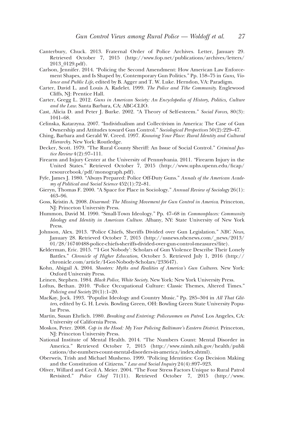- Canterbury, Chuck. 2013. Fraternal Order of Police Archives. Letter, January 29. Retrieved October 7, 2015 ([http://www.fop.net/publications/archives/letters/](http://www.fop.net/publications/archives/letters/2013_0129.pdf) [2013\\_0129.pdf](http://www.fop.net/publications/archives/letters/2013_0129.pdf)).
- Carlson, Jennifer. 2014. "Policing the Second Amendment: How American Law Enforcement Shapes, and Is Shaped by, Contemporary Gun Politics." Pp. 158–75 in Guns, Violence and Public Life, edited by B. Agger and T. W. Luke. Herndon, VA: Paradigm.
- Carter, David L. and Louis A. Radelet. 1999. The Police and Tthe Community. Englewood Cliffs, NJ: Prentice Hall.
- Carter, Gregg L. 2012. Guns in American Society: An Encyclopedia of History, Politics, Culture and the Law. Santa Barbara, CA: ABC-CLIO.
- Cast, Alicia D. and Peter J. Burke. 2002. "A Theory of Self-esteem." Social Forces, 80(3): 1041–68.
- Celinska, Katarzyna. 2007. "Individualism and Collectivism in America: The Case of Gun Ownership and Attitudes toward Gun Control." Sociological Perspectives 50(2):229–47.
- Ching, Barbara and Gerald W. Creed. 1997. Knowing Your Place: Rural Identity and Cultural Hierarchy. New York: Routledge.
- Decker, Scott. 1979. "The Rural County Sheriff: An Issue of Social Control." Criminal Justice Review 4(2):97–111.
- Firearm and Injury Center at the University of Pennsylvania. 2011. "Firearm Injury in the United States." Retrieved October 7, 2015 [\(http://www.uphs.upenn.edu/ficap/](http://www.uphs.upenn.edu/ficap/resourcebook/pdf/monograph.pdf) [resourcebook/pdf/monograph.pdf](http://www.uphs.upenn.edu/ficap/resourcebook/pdf/monograph.pdf)).
- Fyfe, James J. 1980. "Always Prepared: Police Off-Duty Guns." Annals of the American Academy of Political and Social Science 452(1):72–81.
- Gieryn, Thomas F. 2000. "A Space for Place in Sociology." Annual Review of Sociology 26(1): 463–96.
- Goss, Kristin A. 2008. Disarmed: The Missing Movement for Gun Control in America. Princeton, NJ: Princeton University Press.
- Hummon, David M. 1990. "Small-Town Ideology." Pp. 47–68 in Commonplaces: Community Ideology and Identity in American Culture. Albany, NY: State University of New York Press.
- Johnson, Alex. 2013. "Police Chiefs, Sheriffs Divided over Gun Legislation." NBC News, January 28. Retrieved October 7, 2015 [\(http://usnews.nbcnews.com/\\_news/2013/](http://usnews.nbcnews.com/_news/2013/01/28/16740488-police-chiefs-sheriffs-divided-over-gun-control-measures?lite) [01/28/16740488-police-chiefs-sheriffs-divided-over-gun-control-measures?lite](http://usnews.nbcnews.com/_news/2013/01/28/16740488-police-chiefs-sheriffs-divided-over-gun-control-measures?lite)).
- Kelderman, Eric. 2015. "'I Got Nobody': Scholars of Gun Violence Describe Their Lonely Battles." Chronicle of Higher Education, October 5. Retrieved July 1, 2016 [\(http://](http://chronicle.com/article/I-Got-Nobody-Scholars/233647) [chronicle.com/article/I-Got-Nobody-Scholars/233647](http://chronicle.com/article/I-Got-Nobody-Scholars/233647)).
- Kohn, Abigail A. 2004. Shooters: Myths and Realities of America's Gun Cultures. New York: Oxford University Press.
- Leinen, Stephen. 1984. Black Police, White Society. New York: New York University Press.
- Loftus, Bethan. 2010. "Police Occupational Culture: Classic Themes, Altered Times." Policing and Society 20(1):1-20.
- MacKay, Jock. 1993. "Populist Ideology and Country Music." Pp. 285–304 in All That Glitters, edited by G. H. Lewis. Bowling Green, OH: Bowling Green State University Popular Press.
- Martin, Susan Ehrlich. 1980. Breaking and Entering: Policewomen on Patrol. Los Angeles, CA: University of California Press.
- Moskos, Peter. 2008. Cop in the Hood: My Year Policing Baltimore's Eastern District. Princeton, NJ: Princeton University Press.
- National Institute of Mental Health. 2014. "The Numbers Count: Mental Disorder in America." Retrieved October 7, 2015 [\(http://www.nimh.nih.gov/health/publi](http://www.nimh.nih.gov/health/publications/the-numbers-count-mental-disorders-in-america/index.shtml) [cations/the-numbers-count-mental-disorders-in-america/index.shtml](http://www.nimh.nih.gov/health/publications/the-numbers-count-mental-disorders-in-america/index.shtml)).
- Oberweis, Trish and Michael Musheno. 1999. "Policing Identities: Cop Decision Making and the Constitution of Citizens." Law and Social Inquiry 24(4):897–923.
- Oliver, Willard and Cecil A. Meier. 2004. "The Four Stress Factors Unique to Rural Patrol Revisited." Police Chief 71(11). Retrieved October 7, 2015 [\(http://www.](http://www.policechiefmagazine.org/magazine/index.cfm?fuseaction=display_arch&article_id=450&issue_id=112004)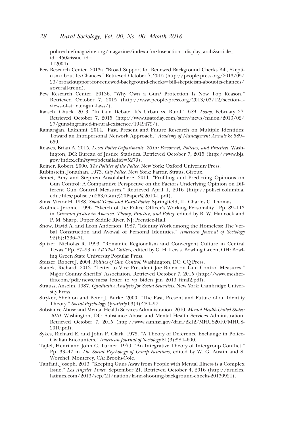[policechiefmagazine.org/magazine/index.cfm?fuseaction](http://www.policechiefmagazine.org/magazine/index.cfm?fuseaction=display_arch&article_id=450&issue_id=112004)=[display\\_arch&article\\_](http://www.policechiefmagazine.org/magazine/index.cfm?fuseaction=display_arch&article_id=450&issue_id=112004)  $id=450$  $id=450$ &issue  $id=$ [112004\)](http://www.policechiefmagazine.org/magazine/index.cfm?fuseaction=display_arch&article_id=450&issue_id=112004).

- Pew Research Center. 2013a. "Broad Support for Renewed Background Checks Bill, Skepticism about Its Chances." Retrieved October 7, 2015 [\(http://people-press.org/2013/05/](http://people-press.org/2013/05/23/broad-support-for-renewed-background-checks=bill-skepticism-about-its-chances/#overall-trend) [23/broad-support-for-renewed-background-checks](http://people-press.org/2013/05/23/broad-support-for-renewed-background-checks=bill-skepticism-about-its-chances/#overall-trend)=[bill-skepticism-about-its-chances/](http://people-press.org/2013/05/23/broad-support-for-renewed-background-checks=bill-skepticism-about-its-chances/#overall-trend) [#overall-trend](http://people-press.org/2013/05/23/broad-support-for-renewed-background-checks=bill-skepticism-about-its-chances/#overall-trend)).
- Pew Research Center. 2013b. "Why Own a Gun? Protection Is Now Top Reason." Retrieved October 7, 2015 ([http://www.people-press.org/2013/03/12/section-1](http://www.people-press.org/2013/03/12/section-1-views-of-stricter-gun-laws/) [views-of-stricter-gun-laws/\)](http://www.people-press.org/2013/03/12/section-1-views-of-stricter-gun-laws/).
- Raasch, Chuck. 2013. "In Gun Debate, It's Urban vs. Rural." USA Today, February 27. Retrieved October 7, 2015 [\(http://www.usatoday.com/story/news/nation/2013/02/](http://www.usatoday.com/story/news/nation/2013/02/27/guns-ingrained-in-rural-existence/1949479/) [27/guns-ingrained-in-rural-existence/1949479/](http://www.usatoday.com/story/news/nation/2013/02/27/guns-ingrained-in-rural-existence/1949479/)).
- Ramarajan, Lakshmi. 2014. "Past, Present and Future Research on Multiple Identities: Toward an Intrapersonal Network Approach." Academy of Management Annals 8: 589– 659.
- Reaves, Brian A. 2015. Local Police Departments, 2013: Personnel, Policies, and Practices. Washington, DC: Bureau of Justice Statistics. Retrieved October 7, 2015 [\(http://www.bjs.](http://www.bjs.gov/index.cfm?ty=pbdetail&iid=5279) [gov/index.cfm?ty](http://www.bjs.gov/index.cfm?ty=pbdetail&iid=5279)=[pbdetail&iid](http://www.bjs.gov/index.cfm?ty=pbdetail&iid=5279)=[5279](http://www.bjs.gov/index.cfm?ty=pbdetail&iid=5279)).
- Reiner, Robert. 2000. The Politics of the Police. New York: Oxford University Press.
- Rubinstein, Jonathan. 1973. City Police. New York: Farrar, Straus, Giroux.
- Semet, Amy and Stephen Ansolabehere. 2011. "Profiling and Predicting Opinions on Gun Control: A Comparative Perspective on the Factors Underlying Opinion on Different Gun Control Measures." Retrieved April 1, 2016 ([http://polisci.columbia.](http://polisci.columbia.edu/files/polisci/u263/Gun%20Paper%2010-1.pdf) [edu/files/polisci/u263/Gun%20Paper%2010-1.pdf](http://polisci.columbia.edu/files/polisci/u263/Gun%20Paper%2010-1.pdf)).
- Sims, Victor H. 1988. Small Town and Rural Police. Springfield, IL: Charles C. Thomas.
- Skolnick Jerome. 1996. "Sketch of the Police Officer's Working Personality." Pp. 89–113 in Criminal Justice in America: Theory, Practice, and Policy, edited by B. W. Hancock and P. M. Sharp. Upper Saddle River, NJ: Prentice-Hall.
- Snow, David A. and Leon Anderson. 1987. "Identity Work among the Homeless: The Verbal Construction and Avowal of Personal Identities." American Journal of Sociology 92(6):1336–71.
- Spitzer, Nicholas R. 1993. "Romantic Regionalism and Convergent Culture in Central Texas." Pp. 87–93 in All That Glitters, edited by G. H. Lewis. Bowling Green, OH: Bowling Green State University Popular Press.
- Spitzer, Robert J. 2004. Politics of Gun Control. Washington, DC: CQ Press.
- Stanek, Richard. 2013. "Letter to Vice President Joe Biden on Gun Control Measures." Major County Sheriffs' Association. Retrieved October 7, 2015 [\(http://www.mcsher](http://www.mcsheriffs.com/pdf/news/mcsa_letter_to_vp_biden_jan_2013_final2.pdf)[iffs.com/pdf/news/mcsa\\_letter\\_to\\_vp\\_biden\\_jan\\_2013\\_final2.pdf](http://www.mcsheriffs.com/pdf/news/mcsa_letter_to_vp_biden_jan_2013_final2.pdf)).
- Strauss, Anselm. 1987. Qualitative Analysis for Social Scientists. New York: Cambridge University Press.
- Stryker, Sheldon and Peter J. Burke. 2000. "The Past, Present and Future of an Identity Theory." Social Psychology Quarterly 63(4):284–97.
- Substance Abuse and Mental Health Services Administration. 2010. Mental Health United States: 2010. Washington, DC: Substance Abuse and Mental Health Services Administration. Retrieved October 7, 2015 ([http://www.samhsa.gov/data/2k12/MHUS2010/MHUS-](http://www.samhsa.gov/data/2k12/MHUS2010/MHUS-2010.pdf)[2010.pdf](http://www.samhsa.gov/data/2k12/MHUS2010/MHUS-2010.pdf)).
- Sykes, Richard E. and John P. Clark. 1975. "A Theory of Deference Exchange in Police-Civilian Encounters." American Journal of Sociology 81(3):584–600.
- Tajfel, Henri and John C. Turner. 1979. "An Integrative Theory of Intergroup Conflict." Pp. 33–47 in The Social Psychology of Group Relations, edited by W. G. Austin and S. Worchel. Monterey, CA: Brooks-Cole.
- Tanfani, Joseph. 2013. "Keeping Guns Away from People with Mental Illness is a Complex Issue." Los Angeles Times, September 21. Retrieved October 4, 2016 [\(http://articles.](http://articles.latimes.com/2013/sep/21/nation/la-na-shooting-background-checks-20130921) [latimes.com/2013/sep/21/nation/la-na-shooting-background-checks-20130921](http://articles.latimes.com/2013/sep/21/nation/la-na-shooting-background-checks-20130921)).